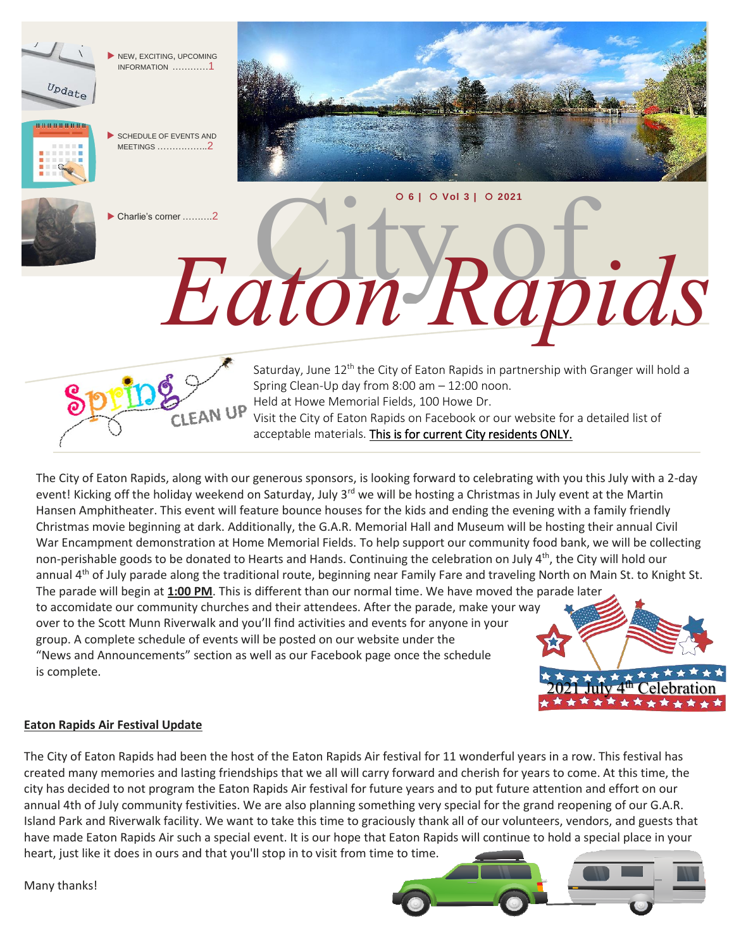

The City of Eaton Rapids, along with our generous sponsors, is looking forward to celebrating with you this July with a 2-day event! Kicking off the holiday weekend on Saturday, July 3<sup>rd</sup> we will be hosting a Christmas in July event at the Martin Hansen Amphitheater. This event will feature bounce houses for the kids and ending the evening with a family friendly Christmas movie beginning at dark. Additionally, the G.A.R. Memorial Hall and Museum will be hosting their annual Civil War Encampment demonstration at Home Memorial Fields. To help support our community food bank, we will be collecting non-perishable goods to be donated to Hearts and Hands. Continuing the celebration on July  $4<sup>th</sup>$ , the City will hold our annual 4<sup>th</sup> of July parade along the traditional route, beginning near Family Fare and traveling North on Main St. to Knight St. The parade will begin at **1:00 PM**. This is different than our normal time. We have moved the parade later

to accomidate our community churches and their attendees. After the parade, make your way over to the Scott Munn Riverwalk and you'll find activities and events for anyone in your group. A complete schedule of events will be posted on our website under the "News and Announcements" section as well as our Facebook page once the schedule is complete.



## **Eaton Rapids Air Festival Update**

The City of Eaton Rapids had been the host of the Eaton Rapids Air festival for 11 wonderful years in a row. This festival has created many memories and lasting friendships that we all will carry forward and cherish for years to come. At this time, the city has decided to not program the Eaton Rapids Air festival for future years and to put future attention and effort on our annual 4th of July community festivities. We are also planning something very special for the grand reopening of our G.A.R. Island Park and Riverwalk facility. We want to take this time to graciously thank all of our volunteers, vendors, and guests that have made Eaton Rapids Air such a special event. It is our hope that Eaton Rapids will continue to hold a special place in your heart, just like it does in ours and that you'll stop in to visit from time to time.

Many thanks!